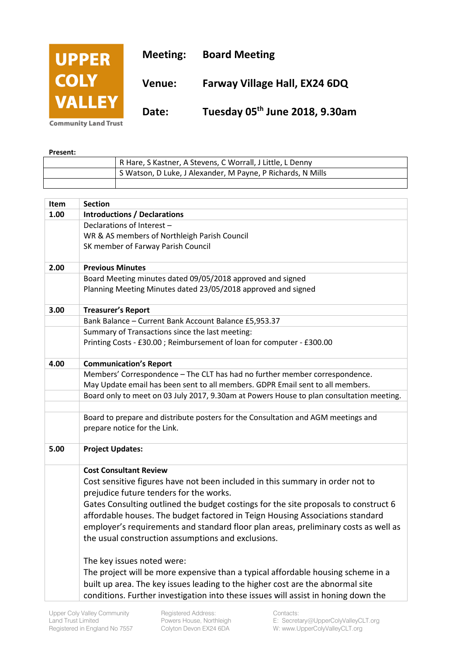

**Present:** 

| . |                                                             |  |
|---|-------------------------------------------------------------|--|
|   | R Hare, S Kastner, A Stevens, C Worrall, J Little, L Denny  |  |
|   | S Watson, D Luke, J Alexander, M Payne, P Richards, N Mills |  |
|   |                                                             |  |

| Item | <b>Section</b>                                                                           |
|------|------------------------------------------------------------------------------------------|
| 1.00 | <b>Introductions / Declarations</b>                                                      |
|      | Declarations of Interest -                                                               |
|      | WR & AS members of Northleigh Parish Council                                             |
|      | SK member of Farway Parish Council                                                       |
| 2.00 | <b>Previous Minutes</b>                                                                  |
|      | Board Meeting minutes dated 09/05/2018 approved and signed                               |
|      | Planning Meeting Minutes dated 23/05/2018 approved and signed                            |
| 3.00 | <b>Treasurer's Report</b>                                                                |
|      | Bank Balance - Current Bank Account Balance £5,953.37                                    |
|      | Summary of Transactions since the last meeting:                                          |
|      | Printing Costs - £30.00; Reimbursement of loan for computer - £300.00                    |
| 4.00 | <b>Communication's Report</b>                                                            |
|      | Members' Correspondence - The CLT has had no further member correspondence.              |
|      | May Update email has been sent to all members. GDPR Email sent to all members.           |
|      | Board only to meet on 03 July 2017, 9.30am at Powers House to plan consultation meeting. |
|      | Board to prepare and distribute posters for the Consultation and AGM meetings and        |
|      | prepare notice for the Link.                                                             |
| 5.00 | <b>Project Updates:</b>                                                                  |
|      | <b>Cost Consultant Review</b>                                                            |
|      | Cost sensitive figures have not been included in this summary in order not to            |
|      | prejudice future tenders for the works.                                                  |
|      | Gates Consulting outlined the budget costings for the site proposals to construct 6      |
|      | affordable houses. The budget factored in Teign Housing Associations standard            |
|      | employer's requirements and standard floor plan areas, preliminary costs as well as      |
|      | the usual construction assumptions and exclusions.                                       |
|      | The key issues noted were:                                                               |
|      | The project will be more expensive than a typical affordable housing scheme in a         |
|      | built up area. The key issues leading to the higher cost are the abnormal site           |
|      | conditions. Further investigation into these issues will assist in honing down the       |
|      |                                                                                          |